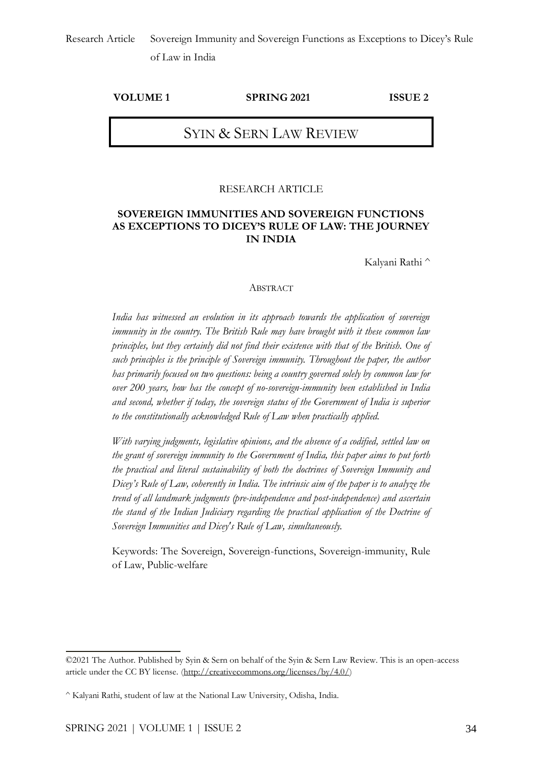#### **VOLUME 1 SPRING 2021 ISSUE 2**

## SYIN & SERN LAW REVIEW

#### RESEARCH ARTICLE

### **SOVEREIGN IMMUNITIES AND SOVEREIGN FUNCTIONS AS EXCEPTIONS TO DICEY'S RULE OF LAW: THE JOURNEY IN INDIA**

Kalyani Rathi ^

#### ABSTRACT

*India has witnessed an evolution in its approach towards the application of sovereign immunity in the country. The British Rule may have brought with it these common law principles, but they certainly did not find their existence with that of the British. One of such principles is the principle of Sovereign immunity. Throughout the paper, the author has primarily focused on two questions: being a country governed solely by common law for over 200 years, how has the concept of no-sovereign-immunity been established in India and second, whether if today, the sovereign status of the Government of India is superior to the constitutionally acknowledged Rule of Law when practically applied.*

*With varying judgments, legislative opinions, and the absence of a codified, settled law on the grant of sovereign immunity to the Government of India, this paper aims to put forth the practical and literal sustainability of both the doctrines of Sovereign Immunity and Dicey's Rule of Law, coherently in India. The intrinsic aim of the paper is to analyze the trend of all landmark judgments (pre-independence and post-independence) and ascertain the stand of the Indian Judiciary regarding the practical application of the Doctrine of Sovereign Immunities and Dicey's Rule of Law, simultaneously.*

Keywords: The Sovereign, Sovereign-functions, Sovereign-immunity, Rule of Law, Public-welfare

<sup>©2021</sup> The Author. Published by Syin & Sern on behalf of the Syin & Sern Law Review. This is an open-access article under the CC BY license. [\(http://creativecommons.org/licenses/by/4.0/\)](http://creativecommons.org/licenses/by/4.0/)

<sup>^</sup> Kalyani Rathi, student of law at the National Law University, Odisha, India.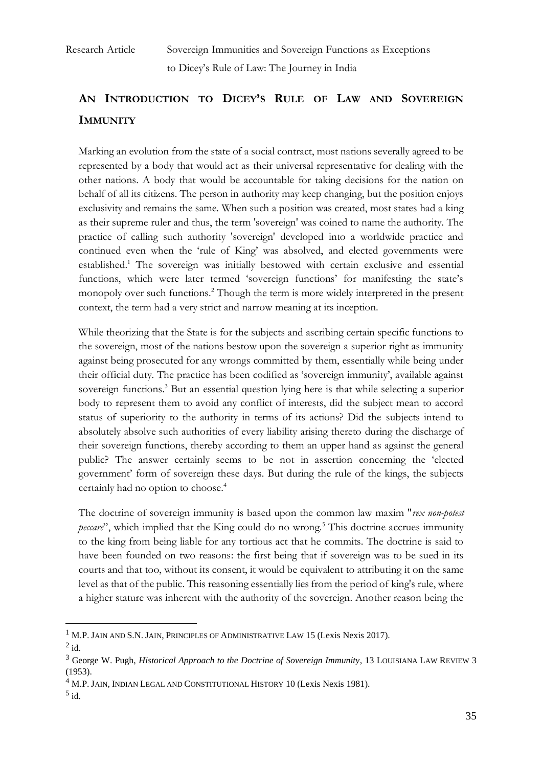# **AN INTRODUCTION TO DICEY'S RULE OF LAW AND SOVEREIGN IMMUNITY**

Marking an evolution from the state of a social contract, most nations severally agreed to be represented by a body that would act as their universal representative for dealing with the other nations. A body that would be accountable for taking decisions for the nation on behalf of all its citizens. The person in authority may keep changing, but the position enjoys exclusivity and remains the same. When such a position was created, most states had a king as their supreme ruler and thus, the term 'sovereign' was coined to name the authority. The practice of calling such authority 'sovereign' developed into a worldwide practice and continued even when the 'rule of King' was absolved, and elected governments were established.<sup>1</sup> The sovereign was initially bestowed with certain exclusive and essential functions, which were later termed 'sovereign functions' for manifesting the state's monopoly over such functions.<sup>2</sup> Though the term is more widely interpreted in the present context, the term had a very strict and narrow meaning at its inception.

While theorizing that the State is for the subjects and ascribing certain specific functions to the sovereign, most of the nations bestow upon the sovereign a superior right as immunity against being prosecuted for any wrongs committed by them, essentially while being under their official duty. The practice has been codified as 'sovereign immunity', available against sovereign functions.<sup>3</sup> But an essential question lying here is that while selecting a superior body to represent them to avoid any conflict of interests, did the subject mean to accord status of superiority to the authority in terms of its actions? Did the subjects intend to absolutely absolve such authorities of every liability arising thereto during the discharge of their sovereign functions, thereby according to them an upper hand as against the general public? The answer certainly seems to be not in assertion concerning the 'elected government' form of sovereign these days. But during the rule of the kings, the subjects certainly had no option to choose.<sup>4</sup>

The doctrine of sovereign immunity is based upon the common law maxim "*rex non-potest peccare*", which implied that the King could do no wrong.<sup>5</sup> This doctrine accrues immunity to the king from being liable for any tortious act that he commits. The doctrine is said to have been founded on two reasons: the first being that if sovereign was to be sued in its courts and that too, without its consent, it would be equivalent to attributing it on the same level as that of the public. This reasoning essentially lies from the period of king's rule, where a higher stature was inherent with the authority of the sovereign. Another reason being the

 $1$  M.P. JAIN AND S.N. JAIN, PRINCIPLES OF ADMINISTRATIVE LAW 15 (Lexis Nexis 2017).

 $^2$  id.

<sup>3</sup> George W. Pugh, *Historical Approach to the Doctrine of Sovereign Immunity*, 13 LOUISIANA LAW REVIEW 3 (1953).

<sup>4</sup> M.P. JAIN, INDIAN LEGAL AND CONSTITUTIONAL HISTORY 10 (Lexis Nexis 1981).

 $<sup>5</sup>$  id.</sup>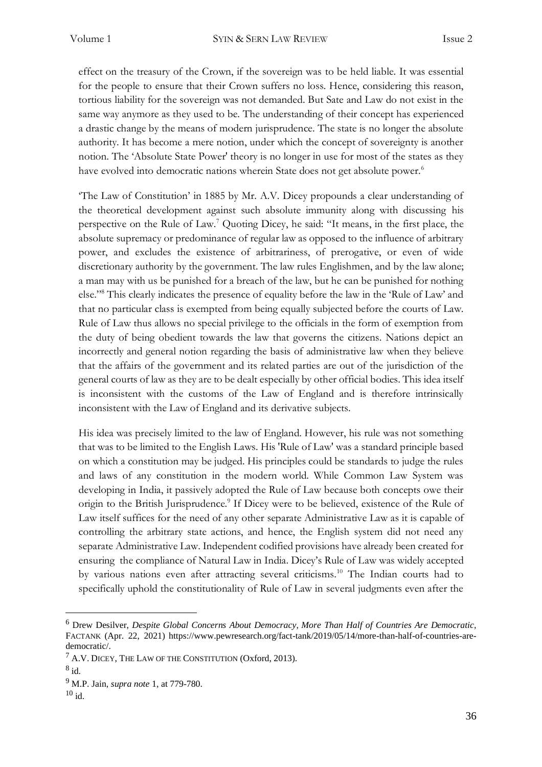effect on the treasury of the Crown, if the sovereign was to be held liable. It was essential for the people to ensure that their Crown suffers no loss. Hence, considering this reason, tortious liability for the sovereign was not demanded. But Sate and Law do not exist in the same way anymore as they used to be. The understanding of their concept has experienced a drastic change by the means of modern jurisprudence. The state is no longer the absolute authority. It has become a mere notion, under which the concept of sovereignty is another notion. The 'Absolute State Power' theory is no longer in use for most of the states as they have evolved into democratic nations wherein State does not get absolute power.<sup>6</sup>

'The Law of Constitution' in 1885 by Mr. A.V. Dicey propounds a clear understanding of the theoretical development against such absolute immunity along with discussing his perspective on the Rule of Law.<sup>7</sup> Quoting Dicey, he said: "It means, in the first place, the absolute supremacy or predominance of regular law as opposed to the influence of arbitrary power, and excludes the existence of arbitrariness, of prerogative, or even of wide discretionary authority by the government. The law rules Englishmen, and by the law alone; a man may with us be punished for a breach of the law, but he can be punished for nothing else."<sup>8</sup> This clearly indicates the presence of equality before the law in the 'Rule of Law' and that no particular class is exempted from being equally subjected before the courts of Law. Rule of Law thus allows no special privilege to the officials in the form of exemption from the duty of being obedient towards the law that governs the citizens. Nations depict an incorrectly and general notion regarding the basis of administrative law when they believe that the affairs of the government and its related parties are out of the jurisdiction of the general courts of law as they are to be dealt especially by other official bodies. This idea itself is inconsistent with the customs of the Law of England and is therefore intrinsically inconsistent with the Law of England and its derivative subjects.

His idea was precisely limited to the law of England. However, his rule was not something that was to be limited to the English Laws. His 'Rule of Law' was a standard principle based on which a constitution may be judged. His principles could be standards to judge the rules and laws of any constitution in the modern world. While Common Law System was developing in India, it passively adopted the Rule of Law because both concepts owe their origin to the British Jurisprudence.<sup>9</sup> If Dicey were to be believed, existence of the Rule of Law itself suffices for the need of any other separate Administrative Law as it is capable of controlling the arbitrary state actions, and hence, the English system did not need any separate Administrative Law. Independent codified provisions have already been created for ensuring the compliance of Natural Law in India. Dicey's Rule of Law was widely accepted by various nations even after attracting several criticisms.<sup>10</sup> The Indian courts had to specifically uphold the constitutionality of Rule of Law in several judgments even after the

<sup>6</sup> Drew Desilver, *Despite Global Concerns About Democracy, More Than Half of Countries Are Democratic,* FACTANK (Apr. 22, 2021) [https://www.pewresearch.org/fact-tank/2019/05/14/more-than-half-of-countries-are](https://www.pewresearch.org/fact-tank/2019/05/14/more-than-half-of-countries-are-democratic/)[democratic/.](https://www.pewresearch.org/fact-tank/2019/05/14/more-than-half-of-countries-are-democratic/)

<sup>7</sup> A.V. DICEY, THE LAW OF THE CONSTITUTION (Oxford, 2013).

<sup>8</sup> id.

<sup>9</sup> M.P. Jain, *supra note* 1, at 779-780.

 $10$  id.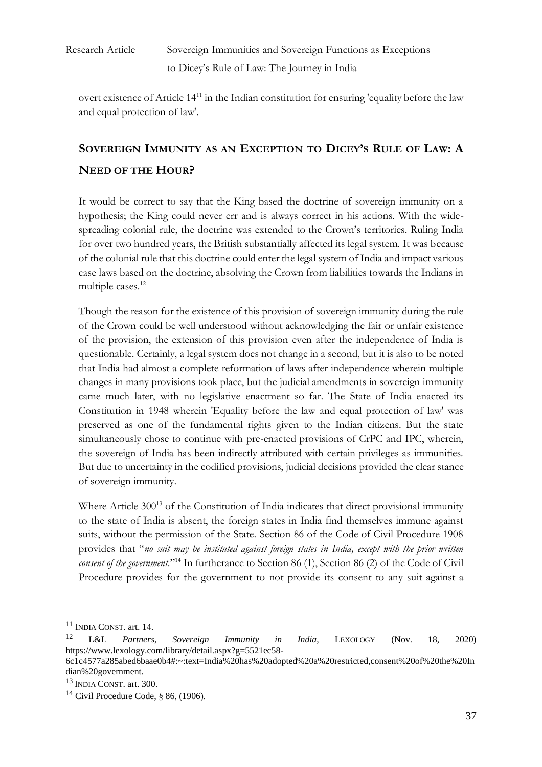overt existence of Article  $14<sup>11</sup>$  in the Indian constitution for ensuring 'equality before the law and equal protection of law'.

# **SOVEREIGN IMMUNITY AS AN EXCEPTION TO DICEY'S RULE OF LAW: A NEED OF THE HOUR?**

It would be correct to say that the King based the doctrine of sovereign immunity on a hypothesis; the King could never err and is always correct in his actions. With the widespreading colonial rule, the doctrine was extended to the Crown's territories. Ruling India for over two hundred years, the British substantially affected its legal system. It was because of the colonial rule that this doctrine could enter the legal system of India and impact various case laws based on the doctrine, absolving the Crown from liabilities towards the Indians in multiple cases.<sup>12</sup>

Though the reason for the existence of this provision of sovereign immunity during the rule of the Crown could be well understood without acknowledging the fair or unfair existence of the provision, the extension of this provision even after the independence of India is questionable. Certainly, a legal system does not change in a second, but it is also to be noted that India had almost a complete reformation of laws after independence wherein multiple changes in many provisions took place, but the judicial amendments in sovereign immunity came much later, with no legislative enactment so far. The State of India enacted its Constitution in 1948 wherein 'Equality before the law and equal protection of law' was preserved as one of the fundamental rights given to the Indian citizens. But the state simultaneously chose to continue with pre-enacted provisions of CrPC and IPC, wherein, the sovereign of India has been indirectly attributed with certain privileges as immunities. But due to uncertainty in the codified provisions, judicial decisions provided the clear stance of sovereign immunity.

Where Article 300<sup>13</sup> of the Constitution of India indicates that direct provisional immunity to the state of India is absent, the foreign states in India find themselves immune against suits, without the permission of the State. Section 86 of the Code of Civil Procedure 1908 provides that "*no suit may be instituted against foreign states in India, except with the prior written consent of the government*."<sup>14</sup> In furtherance to Section 86 (1), Section 86 (2) of the Code of Civil Procedure provides for the government to not provide its consent to any suit against a

<sup>11</sup> INDIA CONST. art. 14.

<sup>12</sup> L&L *Partners, Sovereign Immunity in India,* LEXOLOGY (Nov. 18, 2020) [https://www.lexology.com/library/detail.aspx?g=5521ec58-](https://www.lexology.com/library/detail.aspx?g=5521ec58-6c1c4577a285abed6baae0b4#:~:text=India%20has%20adopted%20a%20restricted,consent%20of%20the%20Indian%20government)

[<sup>6</sup>c1c4577a285abed6baae0b4#:~:text=India%20has%20adopted%20a%20restricted,consent%20of%20the%20In](https://www.lexology.com/library/detail.aspx?g=5521ec58-6c1c4577a285abed6baae0b4#:~:text=India%20has%20adopted%20a%20restricted,consent%20of%20the%20Indian%20government) [dian%20government.](https://www.lexology.com/library/detail.aspx?g=5521ec58-6c1c4577a285abed6baae0b4#:~:text=India%20has%20adopted%20a%20restricted,consent%20of%20the%20Indian%20government)

<sup>13</sup> INDIA CONST. art. 300.

<sup>&</sup>lt;sup>14</sup> Civil Procedure Code, § 86,  $(1906)$ .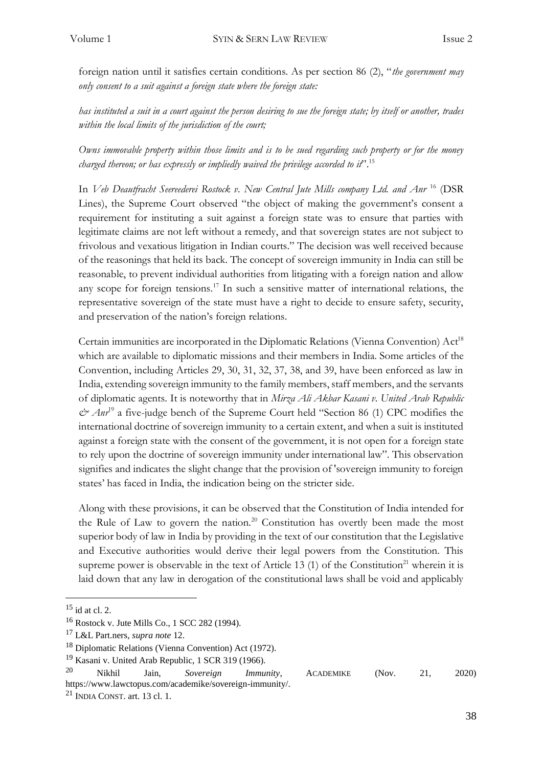foreign nation until it satisfies certain conditions. As per section 86 (2), "*the government may only consent to a suit against a foreign state where the foreign state:*

*has instituted a suit in a court against the person desiring to sue the foreign state; by itself or another, trades within the local limits of the jurisdiction of the court;*

*Owns immovable property within those limits and is to be sued regarding such property or for the money charged thereon; or has expressly or impliedly waived the privilege accorded to it*<sup>".15</sup>

In *Veb Deautfracht Seereederei Rostock v. New Central Jute Mills company Ltd. and Anr* <sup>16</sup> (DSR Lines), the Supreme Court observed "the object of making the government's consent a requirement for instituting a suit against a foreign state was to ensure that parties with legitimate claims are not left without a remedy, and that sovereign states are not subject to frivolous and vexatious litigation in Indian courts." The decision was well received because of the reasonings that held its back. The concept of sovereign immunity in India can still be reasonable, to prevent individual authorities from litigating with a foreign nation and allow any scope for foreign tensions.<sup>17</sup> In such a sensitive matter of international relations, the representative sovereign of the state must have a right to decide to ensure safety, security, and preservation of the nation's foreign relations.

Certain immunities are incorporated in the Diplomatic Relations (Vienna Convention)  $Act^{18}$ which are available to diplomatic missions and their members in India. Some articles of the Convention, including Articles 29, 30, 31, 32, 37, 38, and 39, have been enforced as law in India, extending sovereign immunity to the family members, staff members, and the servants of diplomatic agents. It is noteworthy that in *Mirza Ali Akbar Kasani v. United Arab Republic*   $\mathcal{O}$  *Anr*<sup>19</sup> a five-judge bench of the Supreme Court held "Section 86 (1) CPC modifies the international doctrine of sovereign immunity to a certain extent, and when a suit is instituted against a foreign state with the consent of the government, it is not open for a foreign state to rely upon the doctrine of sovereign immunity under international law". This observation signifies and indicates the slight change that the provision of 'sovereign immunity to foreign states' has faced in India, the indication being on the stricter side.

Along with these provisions, it can be observed that the Constitution of India intended for the Rule of Law to govern the nation.<sup>20</sup> Constitution has overtly been made the most superior body of law in India by providing in the text of our constitution that the Legislative and Executive authorities would derive their legal powers from the Constitution. This supreme power is observable in the text of Article 13 (1) of the Constitution<sup>21</sup> wherein it is laid down that any law in derogation of the constitutional laws shall be void and applicably

<sup>15</sup> id at cl. 2.

<sup>16</sup> Rostock v. Jute Mills Co., 1 SCC 282 (1994).

<sup>17</sup> L&L Part.ners, *supra note* 12.

<sup>18</sup> Diplomatic Relations (Vienna Convention) Act (1972).

<sup>&</sup>lt;sup>19</sup> Kasani v. United Arab Republic, 1 SCR 319 (1966).

<sup>20</sup> Nikhil Jain, *Sovereign Immunity*, ACADEMIKE (Nov. 21, 2020)

[https://www.lawctopus.com/academike/sovereign-immunity/.](https://www.lawctopus.com/academike/sovereign-immunity/)

 $21$  INDIA CONST. art. 13 cl. 1.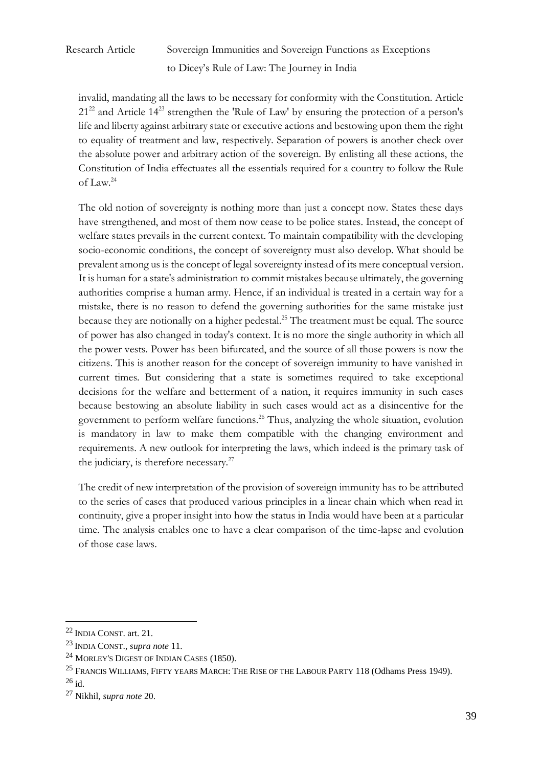invalid, mandating all the laws to be necessary for conformity with the Constitution. Article  $21^{22}$  and Article  $14^{23}$  strengthen the 'Rule of Law' by ensuring the protection of a person's life and liberty against arbitrary state or executive actions and bestowing upon them the right to equality of treatment and law, respectively. Separation of powers is another check over the absolute power and arbitrary action of the sovereign. By enlisting all these actions, the Constitution of India effectuates all the essentials required for a country to follow the Rule of Law.<sup>24</sup>

The old notion of sovereignty is nothing more than just a concept now. States these days have strengthened, and most of them now cease to be police states. Instead, the concept of welfare states prevails in the current context. To maintain compatibility with the developing socio-economic conditions, the concept of sovereignty must also develop. What should be prevalent among us is the concept of legal sovereignty instead of its mere conceptual version. It is human for a state's administration to commit mistakes because ultimately, the governing authorities comprise a human army. Hence, if an individual is treated in a certain way for a mistake, there is no reason to defend the governing authorities for the same mistake just because they are notionally on a higher pedestal.<sup>25</sup> The treatment must be equal. The source of power has also changed in today's context. It is no more the single authority in which all the power vests. Power has been bifurcated, and the source of all those powers is now the citizens. This is another reason for the concept of sovereign immunity to have vanished in current times. But considering that a state is sometimes required to take exceptional decisions for the welfare and betterment of a nation, it requires immunity in such cases because bestowing an absolute liability in such cases would act as a disincentive for the government to perform welfare functions.<sup>26</sup> Thus, analyzing the whole situation, evolution is mandatory in law to make them compatible with the changing environment and requirements. A new outlook for interpreting the laws, which indeed is the primary task of the judiciary, is therefore necessary.<sup>27</sup>

The credit of new interpretation of the provision of sovereign immunity has to be attributed to the series of cases that produced various principles in a linear chain which when read in continuity, give a proper insight into how the status in India would have been at a particular time. The analysis enables one to have a clear comparison of the time-lapse and evolution of those case laws.

<sup>22</sup> INDIA CONST. art. 21.

<sup>23</sup> INDIA CONST., *supra note* 11.

<sup>&</sup>lt;sup>24</sup> MORLEY'S DIGEST OF INDIAN CASES (1850).

<sup>&</sup>lt;sup>25</sup> FRANCIS WILLIAMS, FIFTY YEARS MARCH: THE RISE OF THE LABOUR PARTY 118 (Odhams Press 1949). <sup>26</sup> id.

<sup>27</sup> Nikhil, *supra note* 20.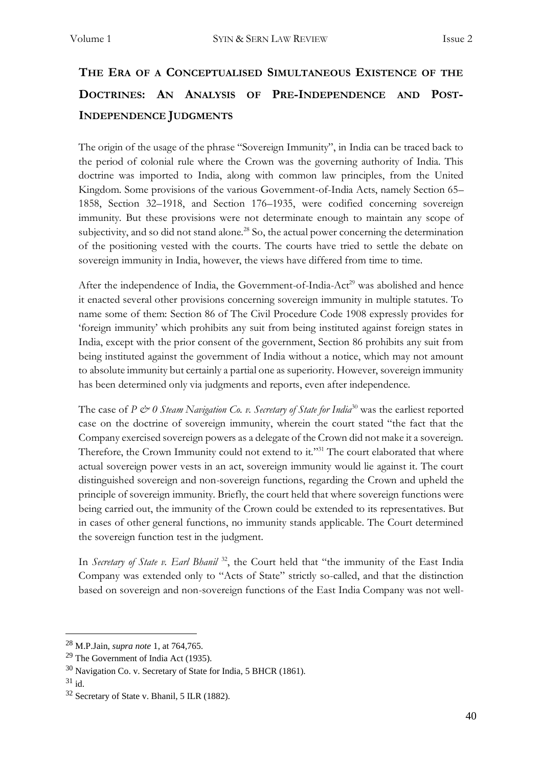# **THE ERA OF A CONCEPTUALISED SIMULTANEOUS EXISTENCE OF THE DOCTRINES: AN ANALYSIS OF PRE-INDEPENDENCE AND POST-INDEPENDENCE JUDGMENTS**

The origin of the usage of the phrase "Sovereign Immunity", in India can be traced back to the period of colonial rule where the Crown was the governing authority of India. This doctrine was imported to India, along with common law principles, from the United Kingdom. Some provisions of the various Government-of-India Acts, namely Section 65– 1858, Section 32–1918, and Section 176–1935, were codified concerning sovereign immunity. But these provisions were not determinate enough to maintain any scope of subjectivity, and so did not stand alone.<sup>28</sup> So, the actual power concerning the determination of the positioning vested with the courts. The courts have tried to settle the debate on sovereign immunity in India, however, the views have differed from time to time.

After the independence of India, the Government-of-India-Act<sup>29</sup> was abolished and hence it enacted several other provisions concerning sovereign immunity in multiple statutes. To name some of them: Section 86 of The Civil Procedure Code 1908 expressly provides for 'foreign immunity' which prohibits any suit from being instituted against foreign states in India, except with the prior consent of the government, Section 86 prohibits any suit from being instituted against the government of India without a notice, which may not amount to absolute immunity but certainly a partial one as superiority. However, sovereign immunity has been determined only via judgments and reports, even after independence.

The case of *P*  $\circledcirc$  *0 Steam Navigation Co. v. Secretary of State for India*<sup>30</sup> was the earliest reported case on the doctrine of sovereign immunity, wherein the court stated "the fact that the Company exercised sovereign powers as a delegate of the Crown did not make it a sovereign. Therefore, the Crown Immunity could not extend to it."<sup>31</sup> The court elaborated that where actual sovereign power vests in an act, sovereign immunity would lie against it. The court distinguished sovereign and non-sovereign functions, regarding the Crown and upheld the principle of sovereign immunity. Briefly, the court held that where sovereign functions were being carried out, the immunity of the Crown could be extended to its representatives. But in cases of other general functions, no immunity stands applicable. The Court determined the sovereign function test in the judgment.

In *Secretary of State v. Earl Bhanil*<sup>32</sup>, the Court held that "the immunity of the East India Company was extended only to "Acts of State" strictly so-called, and that the distinction based on sovereign and non-sovereign functions of the East India Company was not well-

<sup>28</sup> M.P.Jain, *supra note* 1, at 764,765.

<sup>29</sup> The Government of India Act (1935).

<sup>30</sup> Navigation Co. v. Secretary of State for India, 5 BHCR (1861).

<sup>31</sup> id.

<sup>32</sup> Secretary of State v. Bhanil, 5 ILR (1882).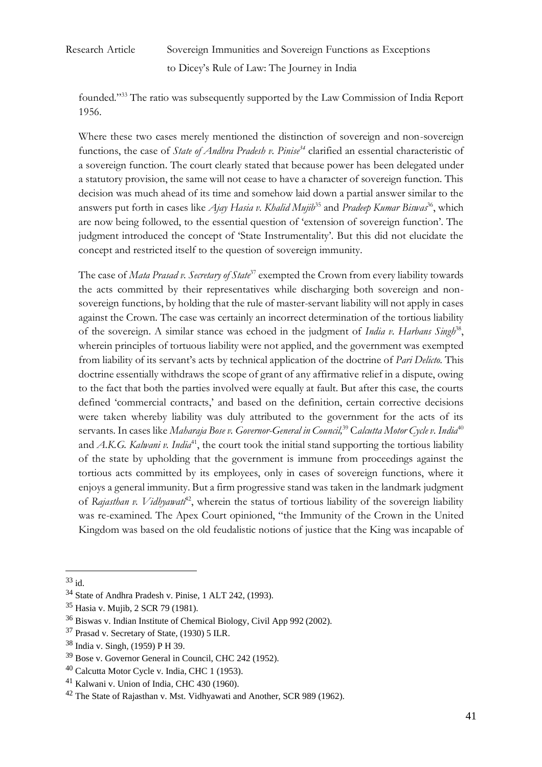founded."<sup>33</sup> The ratio was subsequently supported by the Law Commission of India Report 1956.

Where these two cases merely mentioned the distinction of sovereign and non-sovereign functions, the case of *State of Andhra Pradesh v. Pinise<sup>34</sup>* clarified an essential characteristic of a sovereign function. The court clearly stated that because power has been delegated under a statutory provision, the same will not cease to have a character of sovereign function. This decision was much ahead of its time and somehow laid down a partial answer similar to the answers put forth in cases like *Ajay Hasia v. Khalid Mujib*<sup>35</sup> and *Pradeep Kumar Biswas*<sup>36</sup>, which are now being followed, to the essential question of 'extension of sovereign function'. The judgment introduced the concept of 'State Instrumentality'. But this did not elucidate the concept and restricted itself to the question of sovereign immunity.

The case of *Mata Prasad v. Secretary of State*<sup>37</sup> exempted the Crown from every liability towards the acts committed by their representatives while discharging both sovereign and nonsovereign functions, by holding that the rule of master-servant liability will not apply in cases against the Crown. The case was certainly an incorrect determination of the tortious liability of the sovereign. A similar stance was echoed in the judgment of *India v. Harbans Singh*<sup>38</sup>, wherein principles of tortuous liability were not applied, and the government was exempted from liability of its servant's acts by technical application of the doctrine of *Pari Delicto*. This doctrine essentially withdraws the scope of grant of any affirmative relief in a dispute, owing to the fact that both the parties involved were equally at fault. But after this case, the courts defined 'commercial contracts,' and based on the definition, certain corrective decisions were taken whereby liability was duly attributed to the government for the acts of its servants. In cases like *Maharaja Bose v. Governor-General in Council,*<sup>39</sup> C*alcutta Motor Cycle v. India*<sup>40</sup> and *A.K.G. Kalwani v. India*<sup>41</sup>, the court took the initial stand supporting the tortious liability of the state by upholding that the government is immune from proceedings against the tortious acts committed by its employees, only in cases of sovereign functions, where it enjoys a general immunity. But a firm progressive stand was taken in the landmark judgment of *Rajasthan v. Vidhyawati*<sup>42</sup>, wherein the status of tortious liability of the sovereign liability was re-examined. The Apex Court opinioned, "the Immunity of the Crown in the United Kingdom was based on the old feudalistic notions of justice that the King was incapable of

 $33$  id.

<sup>34</sup> State of Andhra Pradesh v. Pinise, 1 ALT 242, (1993).

<sup>35</sup> Hasia v. Mujib, 2 SCR 79 (1981).

<sup>36</sup> Biswas v. Indian Institute of Chemical Biology, Civil App 992 (2002).

<sup>37</sup> Prasad v. Secretary of State, (1930) 5 ILR.

<sup>38</sup> India v. Singh*,* (1959) P H 39.

<sup>39</sup> Bose v. Governor General in Council, CHC 242 (1952).

<sup>40</sup> Calcutta Motor Cycle v. India, CHC 1 (1953).

<sup>41</sup> Kalwani v. Union of India*,* CHC 430 (1960).

<sup>&</sup>lt;sup>42</sup> The State of Rajasthan v. Mst. Vidhyawati and Another, SCR 989 (1962).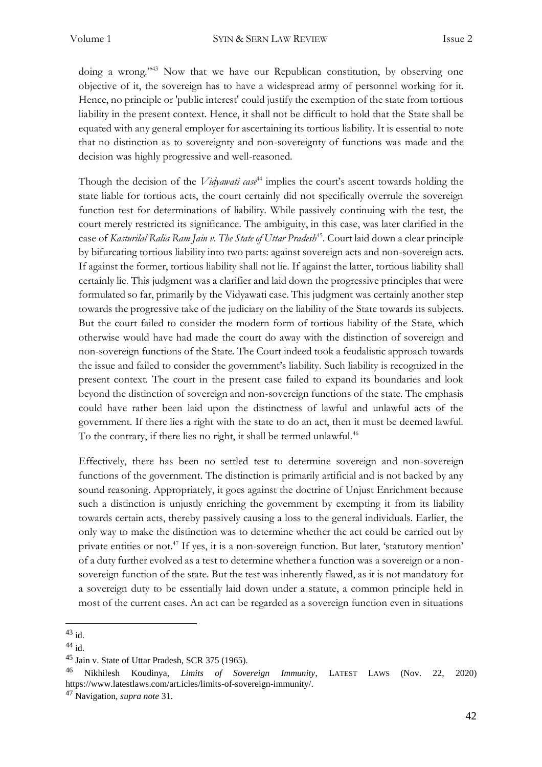doing a wrong."<sup>43</sup> Now that we have our Republican constitution, by observing one objective of it, the sovereign has to have a widespread army of personnel working for it. Hence, no principle or 'public interest' could justify the exemption of the state from tortious liability in the present context. Hence, it shall not be difficult to hold that the State shall be equated with any general employer for ascertaining its tortious liability. It is essential to note that no distinction as to sovereignty and non-sovereignty of functions was made and the decision was highly progressive and well-reasoned.

Though the decision of the *Vidyawati case*<sup>44</sup> implies the court's ascent towards holding the state liable for tortious acts, the court certainly did not specifically overrule the sovereign function test for determinations of liability. While passively continuing with the test, the court merely restricted its significance. The ambiguity, in this case, was later clarified in the case of *Kasturilal Ralia Ram Jain v. The State of Uttar Pradesh<sup>45</sup>. Court laid down a clear principle* by bifurcating tortious liability into two parts: against sovereign acts and non-sovereign acts. If against the former, tortious liability shall not lie. If against the latter, tortious liability shall certainly lie. This judgment was a clarifier and laid down the progressive principles that were formulated so far, primarily by the Vidyawati case. This judgment was certainly another step towards the progressive take of the judiciary on the liability of the State towards its subjects. But the court failed to consider the modern form of tortious liability of the State, which otherwise would have had made the court do away with the distinction of sovereign and non-sovereign functions of the State. The Court indeed took a feudalistic approach towards the issue and failed to consider the government's liability. Such liability is recognized in the present context. The court in the present case failed to expand its boundaries and look beyond the distinction of sovereign and non-sovereign functions of the state. The emphasis could have rather been laid upon the distinctness of lawful and unlawful acts of the government. If there lies a right with the state to do an act, then it must be deemed lawful. To the contrary, if there lies no right, it shall be termed unlawful.<sup>46</sup>

Effectively, there has been no settled test to determine sovereign and non-sovereign functions of the government. The distinction is primarily artificial and is not backed by any sound reasoning. Appropriately, it goes against the doctrine of Unjust Enrichment because such a distinction is unjustly enriching the government by exempting it from its liability towards certain acts, thereby passively causing a loss to the general individuals. Earlier, the only way to make the distinction was to determine whether the act could be carried out by private entities or not.<sup>47</sup> If yes, it is a non-sovereign function. But later, 'statutory mention' of a duty further evolved as a test to determine whether a function was a sovereign or a nonsovereign function of the state. But the test was inherently flawed, as it is not mandatory for a sovereign duty to be essentially laid down under a statute, a common principle held in most of the current cases. An act can be regarded as a sovereign function even in situations

 $43$  id.

 $44$  id.

<sup>45</sup> Jain v. State of Uttar Pradesh, SCR 375 (1965).

<sup>46</sup> Nikhilesh Koudinya, *Limits of Sovereign Immunity*, LATEST LAWS (Nov. 22, 2020) [https://www.latestlaws.com/art.icles/limits-of-sovereign-immunity/.](https://www.latestlaws.com/articles/limits-of-sovereign-immunity/)

<sup>47</sup> Navigation, *supra note* 31.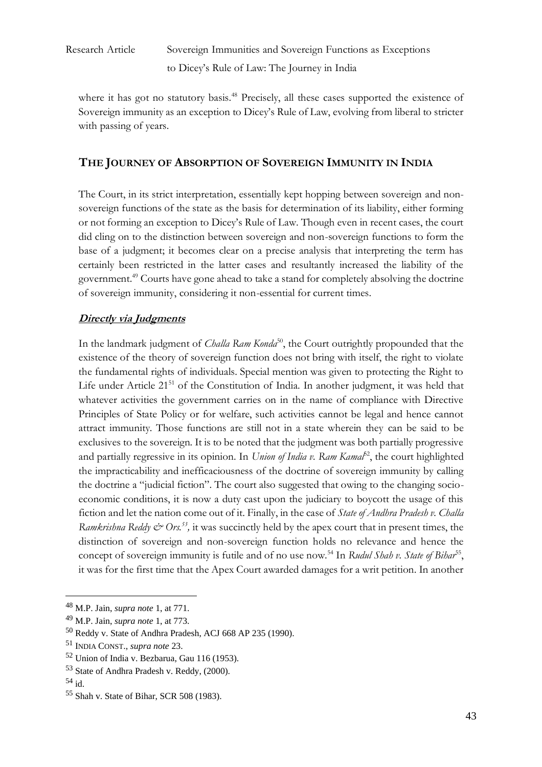where it has got no statutory basis.<sup>48</sup> Precisely, all these cases supported the existence of Sovereign immunity as an exception to Dicey's Rule of Law, evolving from liberal to stricter with passing of years.

### **THE JOURNEY OF ABSORPTION OF SOVEREIGN IMMUNITY IN INDIA**

The Court, in its strict interpretation, essentially kept hopping between sovereign and nonsovereign functions of the state as the basis for determination of its liability, either forming or not forming an exception to Dicey's Rule of Law. Though even in recent cases, the court did cling on to the distinction between sovereign and non-sovereign functions to form the base of a judgment; it becomes clear on a precise analysis that interpreting the term has certainly been restricted in the latter cases and resultantly increased the liability of the government.<sup>49</sup> Courts have gone ahead to take a stand for completely absolving the doctrine of sovereign immunity, considering it non-essential for current times.

### **Directly via Judgments**

In the landmark judgment of *Challa Ram Konda*<sup>50</sup>, the Court outrightly propounded that the existence of the theory of sovereign function does not bring with itself, the right to violate the fundamental rights of individuals. Special mention was given to protecting the Right to Life under Article 21<sup>51</sup> of the Constitution of India. In another judgment, it was held that whatever activities the government carries on in the name of compliance with Directive Principles of State Policy or for welfare, such activities cannot be legal and hence cannot attract immunity. Those functions are still not in a state wherein they can be said to be exclusives to the sovereign. It is to be noted that the judgment was both partially progressive and partially regressive in its opinion. In *Union of India v. Ram Kamal*<sup>52</sup>, the court highlighted the impracticability and inefficaciousness of the doctrine of sovereign immunity by calling the doctrine a "judicial fiction". The court also suggested that owing to the changing socioeconomic conditions, it is now a duty cast upon the judiciary to boycott the usage of this fiction and let the nation come out of it. Finally, in the case of *State of Andhra Pradesh v. Challa Ramkrishna Reddy & Ors.<sup>53</sup>*, it was succinctly held by the apex court that in present times, the distinction of sovereign and non-sovereign function holds no relevance and hence the concept of sovereign immunity is futile and of no use now.<sup>54</sup> In *Rudul Shah v. State of Bihar<sup>55</sup>*, it was for the first time that the Apex Court awarded damages for a writ petition. In another

<sup>48</sup> M.P. Jain, *supra note* 1, at 771.

<sup>49</sup> M.P. Jain, *supra note* 1, at 773.

<sup>50</sup> Reddy v. State of Andhra Pradesh, ACJ 668 AP 235 (1990).

<sup>51</sup> INDIA CONST., *supra note* 23.

<sup>52</sup> Union of India v. Bezbarua, Gau 116 (1953).

<sup>53</sup> State of Andhra Pradesh v. Reddy, (2000).

<sup>54</sup> id.

<sup>55</sup> Shah v. State of Bihar, SCR 508 (1983).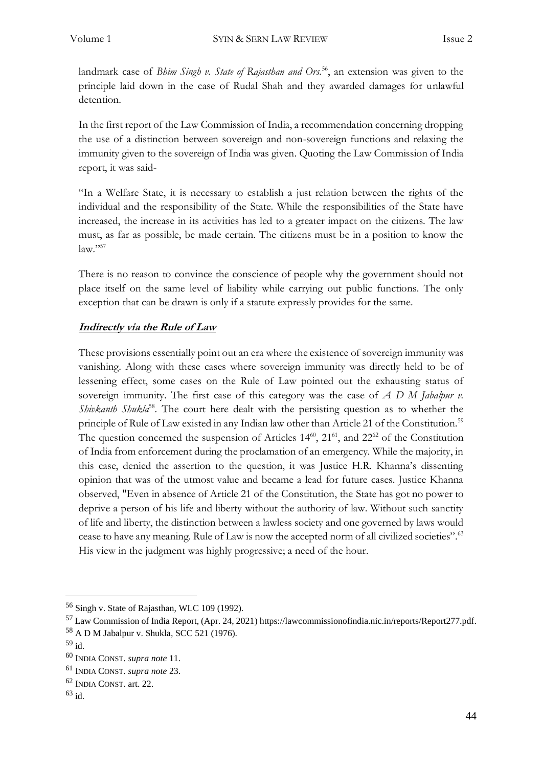landmark case of *Bhim Singh v. State of Rajasthan and Ors.*<sup>56</sup>, an extension was given to the principle laid down in the case of Rudal Shah and they awarded damages for unlawful detention.

In the first report of the Law Commission of India, a recommendation concerning dropping the use of a distinction between sovereign and non-sovereign functions and relaxing the immunity given to the sovereign of India was given. Quoting the Law Commission of India report, it was said-

"In a Welfare State, it is necessary to establish a just relation between the rights of the individual and the responsibility of the State. While the responsibilities of the State have increased, the increase in its activities has led to a greater impact on the citizens. The law must, as far as possible, be made certain. The citizens must be in a position to know the law*.*" 57

There is no reason to convince the conscience of people why the government should not place itself on the same level of liability while carrying out public functions. The only exception that can be drawn is only if a statute expressly provides for the same.

### **Indirectly via the Rule of Law**

These provisions essentially point out an era where the existence of sovereign immunity was vanishing. Along with these cases where sovereign immunity was directly held to be of lessening effect, some cases on the Rule of Law pointed out the exhausting status of sovereign immunity. The first case of this category was the case of *A D M Jabalpur v. Shivkanth Shukla*<sup>58</sup>. The court here dealt with the persisting question as to whether the principle of Rule of Law existed in any Indian law other than Article 21 of the Constitution.<sup>59</sup> The question concerned the suspension of Articles  $14^{60}$ ,  $21^{61}$ , and  $22^{62}$  of the Constitution of India from enforcement during the proclamation of an emergency. While the majority, in this case, denied the assertion to the question, it was Justice H.R. Khanna's dissenting opinion that was of the utmost value and became a lead for future cases. Justice Khanna observed, "Even in absence of Article 21 of the Constitution, the State has got no power to deprive a person of his life and liberty without the authority of law. Without such sanctity of life and liberty, the distinction between a lawless society and one governed by laws would cease to have any meaning. Rule of Law is now the accepted norm of all civilized societies".<sup>63</sup> His view in the judgment was highly progressive; a need of the hour.

<sup>56</sup> Singh v. State of Rajasthan, WLC 109 (1992).

<sup>57</sup> Law Commission of India Report, (Apr. 24, 2021) [https://lawcommissionofindia.nic.in/reports/Report277.pdf.](https://lawcommissionofindia.nic.in/reports/Report277.pdf)

<sup>58</sup> A D M Jabalpur v. Shukla*,* SCC 521 (1976).

 $59$  id.

<sup>60</sup> INDIA CONST. *supra note* 11.

<sup>61</sup> INDIA CONST. *supra note* 23.

<sup>62</sup> INDIA CONST. art. 22.

 $63$  id.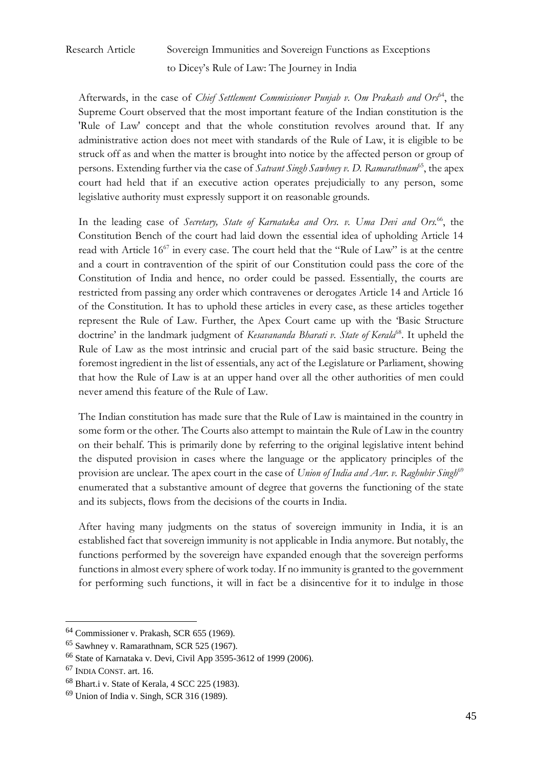Afterwards, in the case of *Chief Settlement Commissioner Punjab v. Om Prakash and Ors*<sup>64</sup>, the Supreme Court observed that the most important feature of the Indian constitution is the 'Rule of Law' concept and that the whole constitution revolves around that. If any administrative action does not meet with standards of the Rule of Law, it is eligible to be struck off as and when the matter is brought into notice by the affected person or group of persons. Extending further via the case of *Satvant Singh Sawhney v. D. Ramarathnam*<sup>65</sup>, the apex court had held that if an executive action operates prejudicially to any person, some legislative authority must expressly support it on reasonable grounds.

In the leading case of *Secretary*, *State of Karnataka and Ors. v. Uma Devi and Ors.*<sup>66</sup>, the Constitution Bench of the court had laid down the essential idea of upholding Article 14 read with Article 16<sup>67</sup> in every case. The court held that the "Rule of Law" is at the centre and a court in contravention of the spirit of our Constitution could pass the core of the Constitution of India and hence, no order could be passed. Essentially, the courts are restricted from passing any order which contravenes or derogates Article 14 and Article 16 of the Constitution. It has to uphold these articles in every case, as these articles together represent the Rule of Law. Further, the Apex Court came up with the 'Basic Structure doctrine' in the landmark judgment of *Kesavananda Bharati v. State of Kerala*<sup>68</sup>. It upheld the Rule of Law as the most intrinsic and crucial part of the said basic structure. Being the foremost ingredient in the list of essentials, any act of the Legislature or Parliament, showing that how the Rule of Law is at an upper hand over all the other authorities of men could never amend this feature of the Rule of Law.

The Indian constitution has made sure that the Rule of Law is maintained in the country in some form or the other. The Courts also attempt to maintain the Rule of Law in the country on their behalf. This is primarily done by referring to the original legislative intent behind the disputed provision in cases where the language or the applicatory principles of the provision are unclear. The apex court in the case of *Union of India and Anr. v. Raghubir Singh*<sup>69</sup> enumerated that a substantive amount of degree that governs the functioning of the state and its subjects, flows from the decisions of the courts in India.

After having many judgments on the status of sovereign immunity in India, it is an established fact that sovereign immunity is not applicable in India anymore. But notably, the functions performed by the sovereign have expanded enough that the sovereign performs functions in almost every sphere of work today. If no immunity is granted to the government for performing such functions, it will in fact be a disincentive for it to indulge in those

<sup>64</sup> Commissioner v. Prakash, SCR 655 (1969).

<sup>65</sup> Sawhney v. Ramarathnam, SCR 525 (1967).

<sup>66</sup> State of Karnataka v. Devi, Civil App 3595-3612 of 1999 (2006).

<sup>67</sup> INDIA CONST. art. 16.

<sup>68</sup> Bhart.i v. State of Kerala, 4 SCC 225 (1983).

<sup>69</sup> Union of India v. Singh, SCR 316 (1989).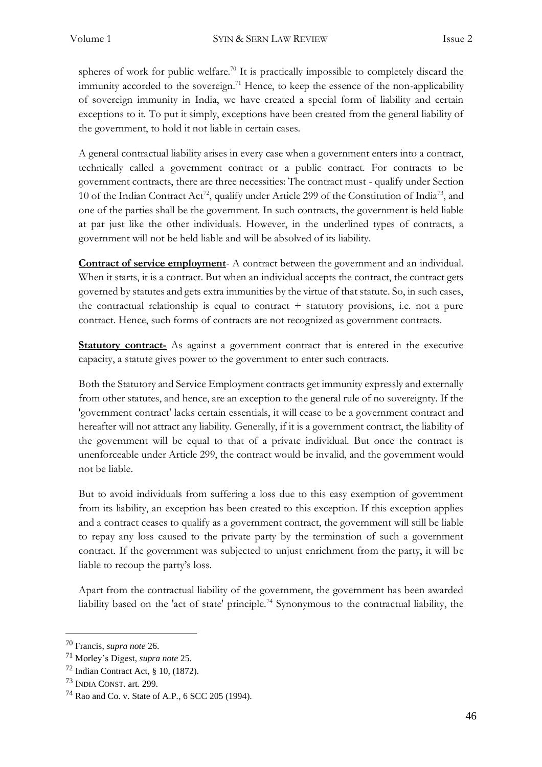spheres of work for public welfare.<sup>70</sup> It is practically impossible to completely discard the immunity accorded to the sovereign.<sup>71</sup> Hence, to keep the essence of the non-applicability of sovereign immunity in India, we have created a special form of liability and certain exceptions to it. To put it simply, exceptions have been created from the general liability of the government, to hold it not liable in certain cases.

A general contractual liability arises in every case when a government enters into a contract, technically called a government contract or a public contract. For contracts to be government contracts, there are three necessities: The contract must - qualify under Section 10 of the Indian Contract Act<sup>72</sup>, qualify under Article 299 of the Constitution of India<sup>73</sup>, and one of the parties shall be the government. In such contracts, the government is held liable at par just like the other individuals. However, in the underlined types of contracts, a government will not be held liable and will be absolved of its liability.

**Contract of service employment**- A contract between the government and an individual. When it starts, it is a contract. But when an individual accepts the contract, the contract gets governed by statutes and gets extra immunities by the virtue of that statute. So, in such cases, the contractual relationship is equal to contract + statutory provisions, i.e. not a pure contract. Hence, such forms of contracts are not recognized as government contracts.

**Statutory contract-** As against a government contract that is entered in the executive capacity, a statute gives power to the government to enter such contracts.

Both the Statutory and Service Employment contracts get immunity expressly and externally from other statutes, and hence, are an exception to the general rule of no sovereignty. If the 'government contract' lacks certain essentials, it will cease to be a government contract and hereafter will not attract any liability. Generally, if it is a government contract, the liability of the government will be equal to that of a private individual. But once the contract is unenforceable under Article 299, the contract would be invalid, and the government would not be liable.

But to avoid individuals from suffering a loss due to this easy exemption of government from its liability, an exception has been created to this exception. If this exception applies and a contract ceases to qualify as a government contract, the government will still be liable to repay any loss caused to the private party by the termination of such a government contract. If the government was subjected to unjust enrichment from the party, it will be liable to recoup the party's loss.

Apart from the contractual liability of the government, the government has been awarded liability based on the 'act of state' principle.<sup>74</sup> Synonymous to the contractual liability, the

<sup>70</sup> Francis, *supra note* 26.

<sup>71</sup> Morley's Digest, *supra note* 25.

 $^{72}$  Indian Contract Act, § 10, (1872).

<sup>73</sup> INDIA CONST. art. 299.

<sup>74</sup> Rao and Co. v. State of A.P*.*, 6 SCC 205 (1994).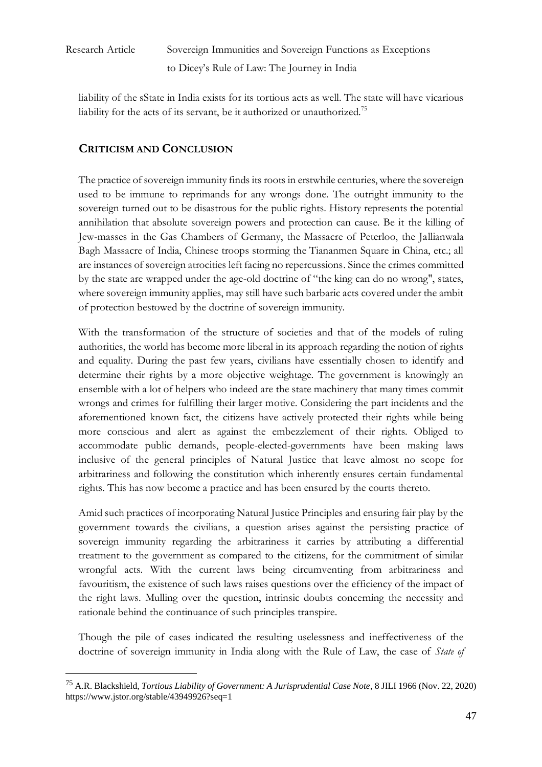liability of the sState in India exists for its tortious acts as well. The state will have vicarious liability for the acts of its servant, be it authorized or unauthorized.<sup>75</sup>

### **CRITICISM AND CONCLUSION**

The practice of sovereign immunity finds its roots in erstwhile centuries, where the sovereign used to be immune to reprimands for any wrongs done. The outright immunity to the sovereign turned out to be disastrous for the public rights. History represents the potential annihilation that absolute sovereign powers and protection can cause. Be it the killing of Jew-masses in the Gas Chambers of Germany, the Massacre of Peterloo, the Jallianwala Bagh Massacre of India, Chinese troops storming the Tiananmen Square in China, etc.; all are instances of sovereign atrocities left facing no repercussions. Since the crimes committed by the state are wrapped under the age-old doctrine of "the king can do no wrong", states, where sovereign immunity applies, may still have such barbaric acts covered under the ambit of protection bestowed by the doctrine of sovereign immunity.

With the transformation of the structure of societies and that of the models of ruling authorities, the world has become more liberal in its approach regarding the notion of rights and equality. During the past few years, civilians have essentially chosen to identify and determine their rights by a more objective weightage. The government is knowingly an ensemble with a lot of helpers who indeed are the state machinery that many times commit wrongs and crimes for fulfilling their larger motive. Considering the part incidents and the aforementioned known fact, the citizens have actively protected their rights while being more conscious and alert as against the embezzlement of their rights. Obliged to accommodate public demands, people-elected-governments have been making laws inclusive of the general principles of Natural Justice that leave almost no scope for arbitrariness and following the constitution which inherently ensures certain fundamental rights. This has now become a practice and has been ensured by the courts thereto.

Amid such practices of incorporating Natural Justice Principles and ensuring fair play by the government towards the civilians, a question arises against the persisting practice of sovereign immunity regarding the arbitrariness it carries by attributing a differential treatment to the government as compared to the citizens, for the commitment of similar wrongful acts. With the current laws being circumventing from arbitrariness and favouritism, the existence of such laws raises questions over the efficiency of the impact of the right laws. Mulling over the question, intrinsic doubts concerning the necessity and rationale behind the continuance of such principles transpire.

Though the pile of cases indicated the resulting uselessness and ineffectiveness of the doctrine of sovereign immunity in India along with the Rule of Law, the case of *State of* 

<sup>75</sup> A.R. Blackshield, *Tortious Liability of Government: A Jurisprudential Case Note*, 8 JILI 1966 (Nov. 22, 2020) <https://www.jstor.org/stable/43949926?seq=1>